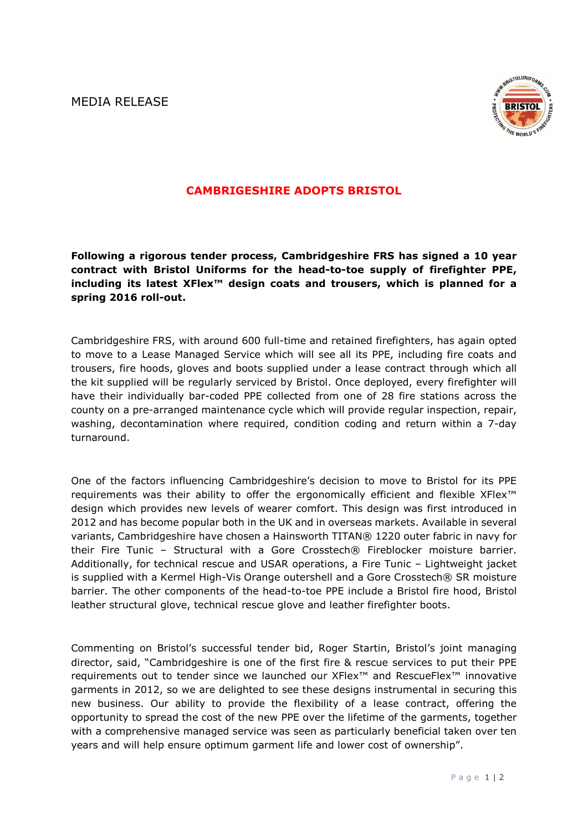MEDIA RELEASE



## **CAMBRIGESHIRE ADOPTS BRISTOL**

**Following a rigorous tender process, Cambridgeshire FRS has signed a 10 year contract with Bristol Uniforms for the head-to-toe supply of firefighter PPE, including its latest XFlex™ design coats and trousers, which is planned for a spring 2016 roll-out.**

Cambridgeshire FRS, with around 600 full-time and retained firefighters, has again opted to move to a Lease Managed Service which will see all its PPE, including fire coats and trousers, fire hoods, gloves and boots supplied under a lease contract through which all the kit supplied will be regularly serviced by Bristol. Once deployed, every firefighter will have their individually bar-coded PPE collected from one of 28 fire stations across the county on a pre-arranged maintenance cycle which will provide regular inspection, repair, washing, decontamination where required, condition coding and return within a 7-day turnaround.

One of the factors influencing Cambridgeshire's decision to move to Bristol for its PPE requirements was their ability to offer the ergonomically efficient and flexible XFlex™ design which provides new levels of wearer comfort. This design was first introduced in 2012 and has become popular both in the UK and in overseas markets. Available in several variants, Cambridgeshire have chosen a Hainsworth TITAN® 1220 outer fabric in navy for their Fire Tunic – Structural with a Gore Crosstech® Fireblocker moisture barrier. Additionally, for technical rescue and USAR operations, a Fire Tunic – Lightweight jacket is supplied with a Kermel High-Vis Orange outershell and a Gore Crosstech® SR moisture barrier. The other components of the head-to-toe PPE include a Bristol fire hood, Bristol leather structural glove, technical rescue glove and leather firefighter boots.

Commenting on Bristol's successful tender bid, Roger Startin, Bristol's joint managing director, said, "Cambridgeshire is one of the first fire & rescue services to put their PPE requirements out to tender since we launched our XFlex™ and RescueFlex™ innovative garments in 2012, so we are delighted to see these designs instrumental in securing this new business. Our ability to provide the flexibility of a lease contract, offering the opportunity to spread the cost of the new PPE over the lifetime of the garments, together with a comprehensive managed service was seen as particularly beneficial taken over ten years and will help ensure optimum garment life and lower cost of ownership".